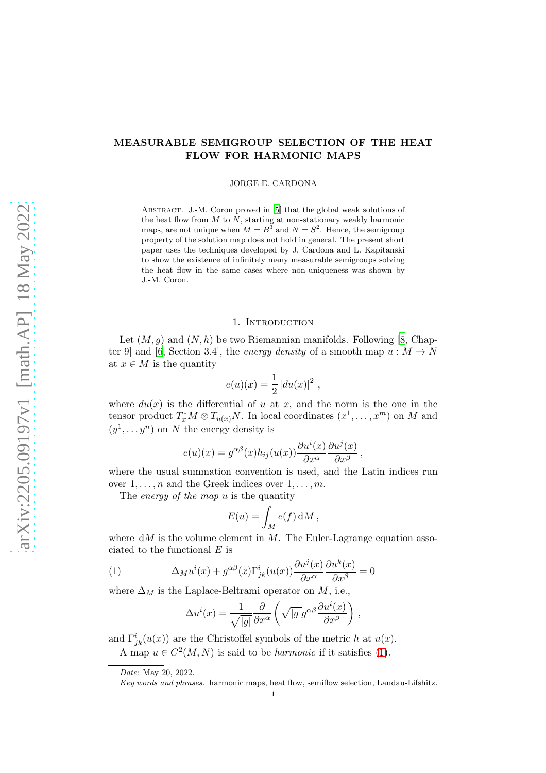# MEASURABLE SEMIGROUP SELECTION OF THE HEAT FLOW FOR HARMONIC MAPS

JORGE E. CARDONA

ABSTRACT. J.-M. Coron proved in [\[5](#page-4-0)] that the global weak solutions of the heat flow from  $M$  to  $N$ , starting at non-stationary weakly harmonic maps, are not unique when  $M = B^3$  and  $N = S^2$ . Hence, the semigroup property of the solution map does not hold in general. The present short paper uses the techniques developed by J. Cardona and L. Kapitanski to show the existence of infinitely many measurable semigroups solving the heat flow in the same cases where non-uniqueness was shown by J.-M. Coron.

#### 1. Introduction

Let  $(M, g)$  and  $(N, h)$  be two Riemannian manifolds. Following [\[8](#page-4-1), Chap-ter 9] and [\[6](#page-4-2), Section 3.4], the *energy density* of a smooth map  $u : M \to N$ at  $x \in M$  is the quantity

$$
e(u)(x) = \frac{1}{2} |du(x)|^2 ,
$$

where  $du(x)$  is the differential of u at x, and the norm is the one in the tensor product  $T_x^* M \otimes T_{u(x)} N$ . In local coordinates  $(x^1, \ldots, x^m)$  on M and  $(y^1, \ldots y^n)$  on N the energy density is

$$
e(u)(x) = g^{\alpha\beta}(x)h_{ij}(u(x))\frac{\partial u^i(x)}{\partial x^{\alpha}}\frac{\partial u^j(x)}{\partial x^{\beta}},
$$

where the usual summation convention is used, and the Latin indices run over  $1, \ldots, n$  and the Greek indices over  $1, \ldots, m$ .

The *energy of the map u* is the quantity

$$
E(u) = \int_M e(f) \, \mathrm{d}M \, ,
$$

where  $dM$  is the volume element in M. The Euler-Lagrange equation associated to the functional  $E$  is

(1) 
$$
\Delta_M u^i(x) + g^{\alpha\beta}(x) \Gamma^i_{jk}(u(x)) \frac{\partial u^j(x)}{\partial x^{\alpha}} \frac{\partial u^k(x)}{\partial x^{\beta}} = 0
$$

where  $\Delta_M$  is the Laplace-Beltrami operator on M, i.e.,

<span id="page-0-0"></span>
$$
\Delta u^{i}(x) = \frac{1}{\sqrt{|g|}} \frac{\partial}{\partial x^{\alpha}} \left( \sqrt{|g|} g^{\alpha\beta} \frac{\partial u^{i}(x)}{\partial x^{\beta}} \right) ,
$$

and  $\Gamma^i_{jk}(u(x))$  are the Christoffel symbols of the metric h at  $u(x)$ .

A map  $u \in C^2(M, N)$  is said to be *harmonic* if it satisfies [\(1\)](#page-0-0).

Date: May 20, 2022.

Key words and phrases. harmonic maps, heat flow, semiflow selection, Landau-Lifshitz.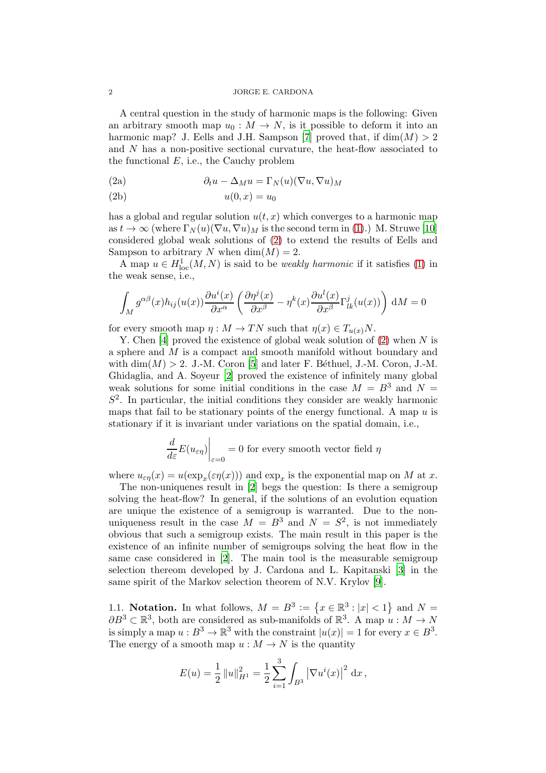A central question in the study of harmonic maps is the following: Given an arbitrary smooth map  $u_0 : M \to N$ , is it possible to deform it into an harmonic map? J. Eells and J.H. Sampson [\[7](#page-4-3)] proved that, if  $dim(M) > 2$ and N has a non-positive sectional curvature, the heat-flow associated to the functional  $E$ , i.e., the Cauchy problem

<span id="page-1-0"></span>(2a) 
$$
\partial_t u - \Delta_M u = \Gamma_N(u)(\nabla u, \nabla u)_M
$$

$$
(2b) \t\t u(0,x) = u_0
$$

has a global and regular solution  $u(t, x)$  which converges to a harmonic map as  $t \to \infty$  (where  $\Gamma_N(u)(\nabla u, \nabla u)_M$  is the second term in [\(1\)](#page-0-0).) M. Struwe [\[10\]](#page-4-4) considered global weak solutions of [\(2\)](#page-1-0) to extend the results of Eells and Sampson to arbitrary N when  $\dim(M) = 2$ .

A map  $u \in H^1_{loc}(M, N)$  is said to be *weakly harmonic* if it satisfies [\(1\)](#page-0-0) in the weak sense, i.e.,

$$
\int_M g^{\alpha\beta}(x)h_{ij}(u(x))\frac{\partial u^i(x)}{\partial x^{\alpha}}\left(\frac{\partial \eta^j(x)}{\partial x^{\beta}} - \eta^k(x)\frac{\partial u^l(x)}{\partial x^{\beta}}\Gamma^j_{lk}(u(x))\right) dM = 0
$$

for every smooth map  $\eta : M \to TN$  such that  $\eta(x) \in T_{u(x)}N$ .

Y. Chen [\[4](#page-4-5)] proved the existence of global weak solution of  $(2)$  when N is a sphere and M is a compact and smooth manifold without boundary and with  $\dim(M) > 2$ . J.-M. Coron [\[5\]](#page-4-0) and later F. Béthuel, J.-M. Coron, J.-M. Ghidaglia, and A. Soyeur [\[2\]](#page-3-0) proved the existence of infinitely many global weak solutions for some initial conditions in the case  $M = B<sup>3</sup>$  and  $N =$  $S<sup>2</sup>$ . In particular, the initial conditions they consider are weakly harmonic maps that fail to be stationary points of the energy functional. A map  $u$  is stationary if it is invariant under variations on the spatial domain, i.e.,

$$
\left. \frac{d}{d\varepsilon} E(u_{\varepsilon \eta}) \right|_{\varepsilon = 0} = 0
$$
 for every smooth vector field  $\eta$ 

where  $u_{\varepsilon\eta}(x) = u(\exp_x(\varepsilon\eta(x)))$  and  $\exp_x$  is the exponential map on M at x.

The non-uniquenes result in [\[2](#page-3-0)] begs the question: Is there a semigroup solving the heat-flow? In general, if the solutions of an evolution equation are unique the existence of a semigroup is warranted. Due to the nonuniqueness result in the case  $M = B^3$  and  $N = S^2$ , is not immediately obvious that such a semigroup exists. The main result in this paper is the existence of an infinite number of semigroups solving the heat flow in the same case considered in [\[2](#page-3-0)]. The main tool is the measurable semigroup selection thereom developed by J. Cardona and L. Kapitanski [\[3](#page-4-6)] in the same spirit of the Markov selection theorem of N.V. Krylov [\[9\]](#page-4-7).

1.1. Notation. In what follows,  $M = B^3 := \{x \in \mathbb{R}^3 : |x| < 1\}$  and  $N =$  $\partial B^3 \subset \mathbb{R}^3$ , both are considered as sub-manifolds of  $\mathbb{R}^3$ . A map  $u : M \to N$ is simply a map  $u : B^3 \to \mathbb{R}^3$  with the constraint  $|u(x)| = 1$  for every  $x \in B^3$ . The energy of a smooth map  $u : M \to N$  is the quantity

$$
E(u) = \frac{1}{2} ||u||_{H^1}^2 = \frac{1}{2} \sum_{i=1}^3 \int_{B^3} |\nabla u^i(x)|^2 dx,
$$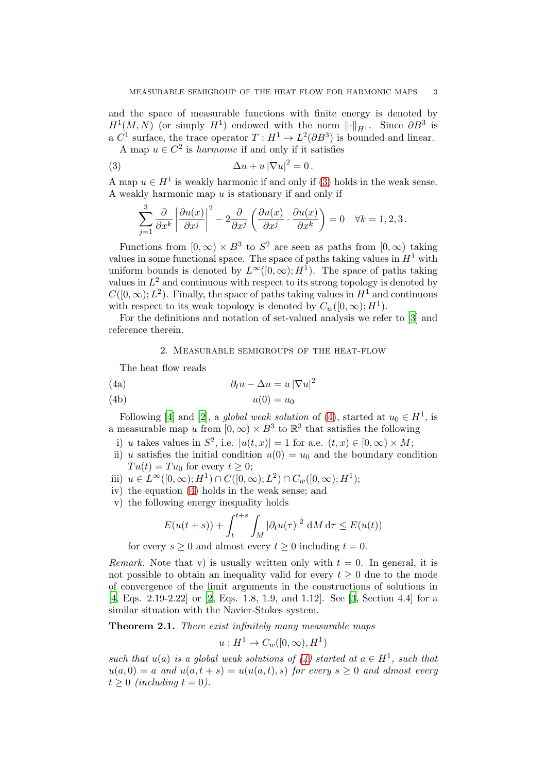and the space of measurable functions with finite energy is denoted by  $H^1(M, N)$  (or simply  $H^1$ ) endowed with the norm  $\lVert \cdot \rVert_{H^1}$ . Since  $\partial B^3$  is a  $C^1$  surface, the trace operator  $T: H^1 \to L^2(\partial B^3)$  is bounded and linear.

A map  $u \in C^2$  is *harmonic* if and only if it satisfies

(3) 
$$
\Delta u + u |\nabla u|^2 = 0.
$$

A map  $u \in H^1$  is weakly harmonic if and only if [\(3\)](#page-2-0) holds in the weak sense. A weakly harmonic map  $u$  is stationary if and only if

<span id="page-2-0"></span>
$$
\sum_{j=1}^{3} \frac{\partial}{\partial x^{k}} \left| \frac{\partial u(x)}{\partial x^{j}} \right|^{2} - 2 \frac{\partial}{\partial x^{j}} \left( \frac{\partial u(x)}{\partial x^{j}} \cdot \frac{\partial u(x)}{\partial x^{k}} \right) = 0 \quad \forall k = 1, 2, 3.
$$

Functions from  $[0, \infty) \times B^3$  to  $S^2$  are seen as paths from  $[0, \infty)$  taking values in some functional space. The space of paths taking values in  $H^1$  with uniform bounds is denoted by  $L^{\infty}([0,\infty); H^{\hat{1}})$ . The space of paths taking values in  $L^2$  and continuous with respect to its strong topology is denoted by  $C([0,\infty); L^2)$ . Finally, the space of paths taking values in  $H^1$  and continuous with respect to its weak topology is denoted by  $C_w([0,\infty); H^1)$ .

For the definitions and notation of set-valued analysis we refer to [\[3\]](#page-4-6) and reference therein.

### <span id="page-2-1"></span>2. Measurable semigroups of the heat-flow

The heat flow reads

(4a) 
$$
\partial_t u - \Delta u = u |\nabla u|^2
$$

$$
(4b) \t\t u(0) = u_0
$$

Following [\[4\]](#page-4-5) and [\[2\]](#page-3-0), a *global weak solution* of [\(4\)](#page-2-1), started at  $u_0 \in H^1$ , is a measurable map u from  $[0, \infty) \times B^3$  to  $\mathbb{R}^3$  that satisfies the following

- i) u takes values in  $S^2$ , i.e.  $|u(t,x)| = 1$  for a.e.  $(t,x) \in [0,\infty) \times M$ ;
- ii) u satisfies the initial condition  $u(0) = u_0$  and the boundary condition  $Tu(t) = Tu_0$  for every  $t \geq 0$ ;
- iii)  $u \in L^{\infty}([0,\infty); H^1) \cap C([0,\infty); L^2) \cap C_w([0,\infty); H^1);$
- iv) the equation [\(4\)](#page-2-1) holds in the weak sense; and
- v) the following energy inequality holds

$$
E(u(t+s)) + \int_{t}^{t+s} \int_{M} |\partial_t u(\tau)|^2 \, dM \, d\tau \le E(u(t))
$$

for every  $s > 0$  and almost every  $t > 0$  including  $t = 0$ .

Remark. Note that v) is usually written only with  $t = 0$ . In general, it is not possible to obtain an inequality valid for every  $t \geq 0$  due to the mode of convergence of the limit arguments in the constructions of solutions in [\[4,](#page-4-5) Eqs. 2.19-2.22] or [\[2,](#page-3-0) Eqs. 1.8, 1.9, and 1.12]. See [\[3](#page-4-6), Section 4.4] for a similar situation with the Navier-Stokes system.

<span id="page-2-2"></span>Theorem 2.1. There exist infinitely many measurable maps

$$
u: H^1 \to C_w([0,\infty), H^1)
$$

such that  $u(a)$  is a global weak solutions of  $(4)$  started at  $a \in H^1$ , such that  $u(a, 0) = a$  and  $u(a, t + s) = u(u(a, t), s)$  for every  $s \ge 0$  and almost every  $t > 0$  (including  $t = 0$ ).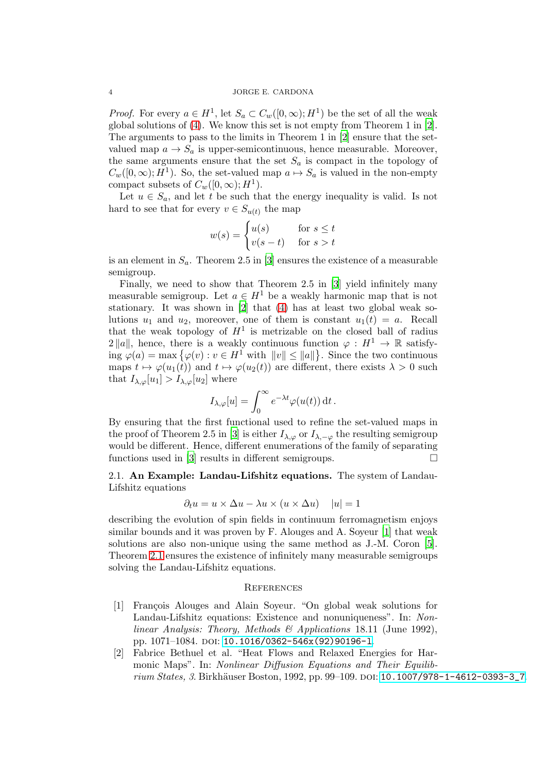*Proof.* For every  $a \in H^1$ , let  $S_a \subset C_w([0,\infty); H^1)$  be the set of all the weak global solutions of [\(4\)](#page-2-1). We know this set is not empty from Theorem 1 in [\[2\]](#page-3-0). The arguments to pass to the limits in Theorem 1 in [\[2](#page-3-0)] ensure that the setvalued map  $a \to S_a$  is upper-semicontinuous, hence measurable. Moreover, the same arguments ensure that the set  $S_a$  is compact in the topology of  $C_w([0,\infty); H^1)$ . So, the set-valued map  $a \mapsto S_a$  is valued in the non-empty compact subsets of  $C_w([0,\infty);H^1)$ .

Let  $u \in S_a$ , and let t be such that the energy inequality is valid. Is not hard to see that for every  $v \in S_{u(t)}$  the map

$$
w(s) = \begin{cases} u(s) & \text{for } s \le t \\ v(s-t) & \text{for } s > t \end{cases}
$$

is an element in  $S_a$ . Theorem 2.5 in [\[3](#page-4-6)] ensures the existence of a measurable semigroup.

Finally, we need to show that Theorem 2.5 in [\[3](#page-4-6)] yield infinitely many measurable semigroup. Let  $a \in H^1$  be a weakly harmonic map that is not stationary. It was shown in [\[2\]](#page-3-0) that [\(4\)](#page-2-1) has at least two global weak solutions  $u_1$  and  $u_2$ , moreover, one of them is constant  $u_1(t) = a$ . Recall that the weak topology of  $H^1$  is metrizable on the closed ball of radius  $2 ||a||$ , hence, there is a weakly continuous function  $\varphi : H^1 \to \mathbb{R}$  satisfying  $\varphi(a) = \max \{ \varphi(v) : v \in H^1 \text{ with } ||v|| \le ||a|| \}.$  Since the two continuous maps  $t \mapsto \varphi(u_1(t))$  and  $t \mapsto \varphi(u_2(t))$  are different, there exists  $\lambda > 0$  such that  $I_{\lambda,\varphi}[u_1] > I_{\lambda,\varphi}[u_2]$  where

$$
I_{\lambda,\varphi}[u] = \int_0^\infty e^{-\lambda t} \varphi(u(t)) dt.
$$

By ensuring that the first functional used to refine the set-valued maps in the proof of Theorem 2.5 in [\[3](#page-4-6)] is either  $I_{\lambda,\varphi}$  or  $I_{\lambda,-\varphi}$  the resulting semigroup would be different. Hence, different enumerations of the family of separating functions used in [\[3](#page-4-6)] results in different semigroups.  $\Box$ 

2.1. An Example: Landau-Lifshitz equations. The system of Landau-Lifshitz equations

$$
\partial_t u = u \times \Delta u - \lambda u \times (u \times \Delta u) \quad |u| = 1
$$

describing the evolution of spin fields in continuum ferromagnetism enjoys similar bounds and it was proven by F. Alouges and A. Soyeur [\[1](#page-3-1)] that weak solutions are also non-unique using the same method as J.-M. Coron [\[5\]](#page-4-0). Theorem [2.1](#page-2-2) ensures the existence of infinitely many measurable semigroups solving the Landau-Lifshitz equations.

## **REFERENCES**

- <span id="page-3-1"></span>[1] Fran¸cois Alouges and Alain Soyeur. "On global weak solutions for Landau-Lifshitz equations: Existence and nonuniqueness". In: Nonlinear Analysis: Theory, Methods & Applications 18.11 (June 1992), pp. 1071-1084. poi: 10.1016/0362-546x(92)90196-1.
- <span id="page-3-0"></span>[2] Fabrice Bethuel et al. "Heat Flows and Relaxed Energies for Harmonic Maps". In: *Nonlinear Diffusion Equations and Their Equilib-*rium States, 3. Birkhäuser Boston, 1992, pp. 99–109. doi: [10.1007/978-1-4612-0393-3\\_7](https://doi.org/10.1007/978-1-4612-0393-3_7).